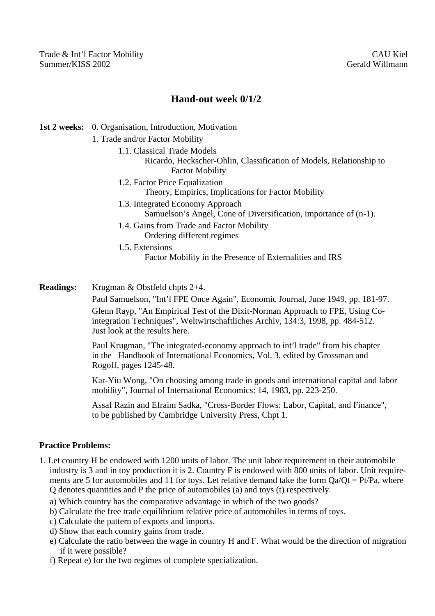Trade & Int'l Factor Mobility CAU Kiel Summer/KISS 2002 Gerald Willmann

## **Hand-out week 0/1/2**

## **1st 2 weeks:** 0. Organisation, Introduction, Motivation

- 1. Trade and/or Factor Mobility
	- 1.1. Classical Trade Models
		- Ricardo, Heckscher-Ohlin, Classification of Models, Relationship to Factor Mobility
	- 1.2. Factor Price Equalization Theory, Empirics, Implications for Factor Mobility
	- 1.3. Integrated Economy Approach Samuelson's Angel, Cone of Diversification, importance of (n-1).
	- 1.4. Gains from Trade and Factor Mobility Ordering different regimes

1.5. Extensions

Factor Mobility in the Presence of Externalities and IRS

**Readings:** Krugman & Obstfeld chpts 2+4.

Paul Samuelson, "Int'l FPE Once Again", Economic Journal, June 1949, pp. 181-97. Glenn Rayp, "An Empirical Test of the Dixit-Norman Approach to FPE, Using Cointegration Techniques", Weltwirtschaftliches Archiv, 134:3, 1998, pp. 484-512. Just look at the results here.

Paul Krugman, "The integrated-economy approach to int'l trade" from his chapter in the Handbook of International Economics, Vol. 3, edited by Grossman and Rogoff, pages 1245-48.

Kar-Yiu Wong, "On choosing among trade in goods and international capital and labor mobility", Journal of International Economics: 14, 1983, pp. 223-250.

Assaf Razin and Efraim Sadka, "Cross-Border Flows: Labor, Capital, and Finance", to be published by Cambridge University Press, Chpt 1.

## **Practice Problems:**

- 1. Let country H be endowed with 1200 units of labor. The unit labor requirement in their automobile industry is 3 and in toy production it is 2. Country F is endowed with 800 units of labor. Unit requirements are 5 for automobiles and 11 for toys. Let relative demand take the form  $Qa/Qt = Pt/Pa$ , where Q denotes quantities and P the price of automobiles (a) and toys (t) respectively.
	- a) Which country has the comparative advantage in which of the two goods?
	- b) Calculate the free trade equilibrium relative price of automobiles in terms of toys.
	- c) Calculate the pattern of exports and imports.
	- d) Show that each country gains from trade.
	- e) Calculate the ratio between the wage in country H and F. What would be the direction of migration if it were possible?
	- f) Repeat e) for the two regimes of complete specialization.